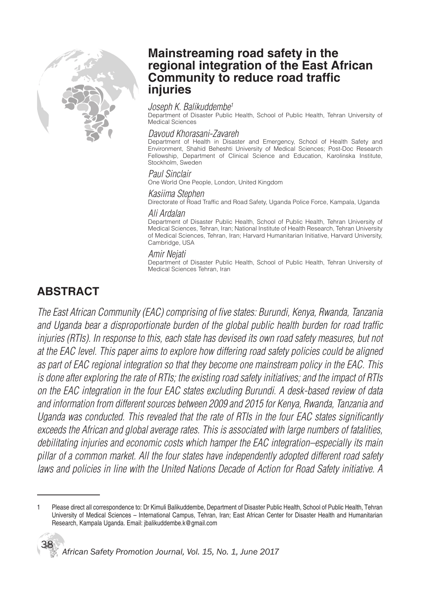

## **Mainstreaming road safety in the regional integration of the East African Community to reduce road traffic injuries**

### Joseph K. Balikuddembe<sup>1</sup>

Department of Disaster Public Health, School of Public Health, Tehran University of Medical Sciences

### Davoud Khorasani-Zavareh

Department of Health in Disaster and Emergency, School of Health Safety and Environment, Shahid Beheshti University of Medical Sciences; Post-Doc Research Fellowship, Department of Clinical Science and Education, Karolinska Institute, Stockholm, Sweden

### Paul Sinclair

One World One People, London, United Kingdom

#### Kasiima Stephen

Directorate of Road Traffic and Road Safety, Uganda Police Force, Kampala, Uganda

#### Ali Ardalan

Department of Disaster Public Health, School of Public Health, Tehran University of Medical Sciences, Tehran, Iran; National Institute of Health Research, Tehran University of Medical Sciences, Tehran, Iran; Harvard Humanitarian Initiative, Harvard University, Cambridge, USA

### Amir Nejati

Department of Disaster Public Health, School of Public Health, Tehran University of Medical Sciences Tehran, Iran

# **ABSTRACT**

The East African Community (EAC) comprising of five states: Burundi, Kenya, Rwanda, Tanzania and Uganda bear a disproportionate burden of the global public health burden for road traffic injuries (RTIs). In response to this, each state has devised its own road safety measures, but not at the EAC level. This paper aims to explore how differing road safety policies could be aligned as part of EAC regional integration so that they become one mainstream policy in the EAC. This is done after exploring the rate of RTIs; the existing road safety initiatives; and the impact of RTIs on the EAC integration in the four EAC states excluding Burundi. A desk-based review of data and information from different sources between 2009 and 2015 for Kenya, Rwanda, Tanzania and Uganda was conducted. This revealed that the rate of RTIs in the four EAC states significantly exceeds the African and global average rates. This is associated with large numbers of fatalities, debilitating injuries and economic costs which hamper the EAC integration–especially its main pillar of a common market. All the four states have independently adopted different road safety laws and policies in line with the United Nations Decade of Action for Road Safety initiative. A

Please direct all correspondence to: Dr Kimuli Balikuddembe, Department of Disaster Public Health, School of Public Health, Tehran University of Medical Sciences – International Campus, Tehran, Iran; East African Center for Disaster Health and Humanitarian Research, Kampala Uganda. Email: jbalikuddembe.k@gmail.com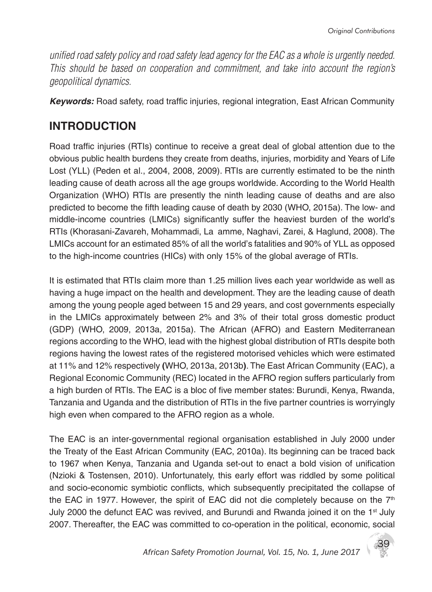unified road safety policy and road safety lead agency for the EAC as a whole is urgently needed. This should be based on cooperation and commitment, and take into account the region's geopolitical dynamics.

*Keywords:* Road safety, road traffic injuries, regional integration, East African Community

# **INTRODUCTION**

Road traffic injuries (RTIs) continue to receive a great deal of global attention due to the obvious public health burdens they create from deaths, injuries, morbidity and Years of Life Lost (YLL) (Peden et al., 2004, 2008, 2009). RTIs are currently estimated to be the ninth leading cause of death across all the age groups worldwide. According to the World Health Organization (WHO) RTIs are presently the ninth leading cause of deaths and are also predicted to become the fifth leading cause of death by 2030 (WHO, 2015a). The low- and middle-income countries (LMICs) significantly suffer the heaviest burden of the world's RTIs (Khorasani-Zavareh, Mohammadi, La amme, Naghavi, Zarei, & Haglund, 2008). The LMICs account for an estimated 85% of all the world's fatalities and 90% of YLL as opposed to the high-income countries (HICs) with only 15% of the global average of RTIs.

It is estimated that RTIs claim more than 1.25 million lives each year worldwide as well as having a huge impact on the health and development. They are the leading cause of death among the young people aged between 15 and 29 years, and cost governments especially in the LMICs approximately between 2% and 3% of their total gross domestic product (GDP) (WHO, 2009, 2013a, 2015a). The African (AFRO) and Eastern Mediterranean regions according to the WHO, lead with the highest global distribution of RTIs despite both regions having the lowest rates of the registered motorised vehicles which were estimated at 11% and 12% respectively **(**WHO, 2013a, 2013b**)**. The East African Community (EAC), a Regional Economic Community (REC) located in the AFRO region suffers particularly from a high burden of RTIs. The EAC is a bloc of five member states: Burundi, Kenya, Rwanda, Tanzania and Uganda and the distribution of RTIs in the five partner countries is worryingly high even when compared to the AFRO region as a whole.

The EAC is an inter-governmental regional organisation established in July 2000 under the Treaty of the East African Community (EAC, 2010a). Its beginning can be traced back to 1967 when Kenya, Tanzania and Uganda set-out to enact a bold vision of unification (Nzioki & Tostensen, 2010). Unfortunately, this early effort was riddled by some political and socio-economic symbiotic conflicts, which subsequently precipitated the collapse of the EAC in 1977. However, the spirit of EAC did not die completely because on the  $7<sup>th</sup>$ July 2000 the defunct EAC was revived, and Burundi and Rwanda joined it on the  $1<sup>st</sup>$  July 2007. Thereafter, the EAC was committed to co-operation in the political, economic, social

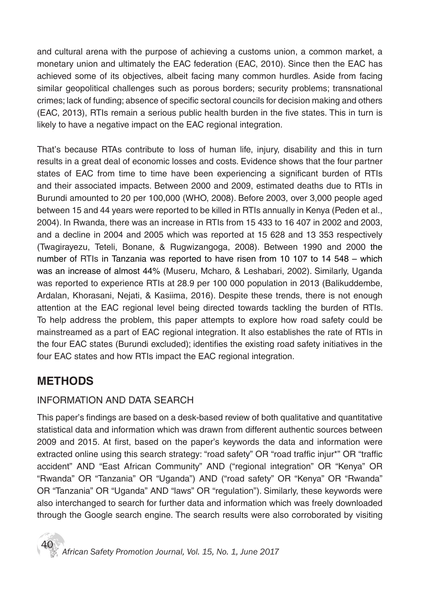and cultural arena with the purpose of achieving a customs union, a common market, a monetary union and ultimately the EAC federation (EAC, 2010). Since then the EAC has achieved some of its objectives, albeit facing many common hurdles. Aside from facing similar geopolitical challenges such as porous borders; security problems; transnational crimes; lack of funding; absence of specific sectoral councils for decision making and others (EAC, 2013), RTIs remain a serious public health burden in the five states. This in turn is likely to have a negative impact on the EAC regional integration.

That's because RTAs contribute to loss of human life, injury, disability and this in turn results in a great deal of economic losses and costs. Evidence shows that the four partner states of EAC from time to time have been experiencing a significant burden of RTIs and their associated impacts. Between 2000 and 2009, estimated deaths due to RTIs in Burundi amounted to 20 per 100,000 (WHO, 2008). Before 2003, over 3,000 people aged between 15 and 44 years were reported to be killed in RTIs annually in Kenya (Peden et al., 2004). In Rwanda, there was an increase in RTIs from 15 433 to 16 407 in 2002 and 2003, and a decline in 2004 and 2005 which was reported at 15 628 and 13 353 respectively (Twagirayezu, Teteli, Bonane, & Rugwizangoga, 2008). Between 1990 and 2000 the number of RTIs in Tanzania was reported to have risen from 10 107 to 14 548 – which was an increase of almost 44% (Museru, Mcharo, & Leshabari, 2002). Similarly, Uganda was reported to experience RTIs at 28.9 per 100 000 population in 2013 (Balikuddembe, Ardalan, Khorasani, Nejati, & Kasiima, 2016). Despite these trends, there is not enough attention at the EAC regional level being directed towards tackling the burden of RTIs. To help address the problem, this paper attempts to explore how road safety could be mainstreamed as a part of EAC regional integration. It also establishes the rate of RTIs in the four EAC states (Burundi excluded); identifies the existing road safety initiatives in the four EAC states and how RTIs impact the EAC regional integration.

# **METHODS**

## INFORMATION AND DATA SEARCH

This paper's findings are based on a desk-based review of both qualitative and quantitative statistical data and information which was drawn from different authentic sources between 2009 and 2015. At first, based on the paper's keywords the data and information were extracted online using this search strategy: "road safety" OR "road traffic injur\*" OR "traffic accident" AND "East African Community" AND ("regional integration" OR "Kenya" OR "Rwanda" OR "Tanzania" OR "Uganda") AND ("road safety" OR "Kenya" OR "Rwanda" OR "Tanzania" OR "Uganda" AND "laws" OR "regulation"). Similarly, these keywords were also interchanged to search for further data and information which was freely downloaded through the Google search engine. The search results were also corroborated by visiting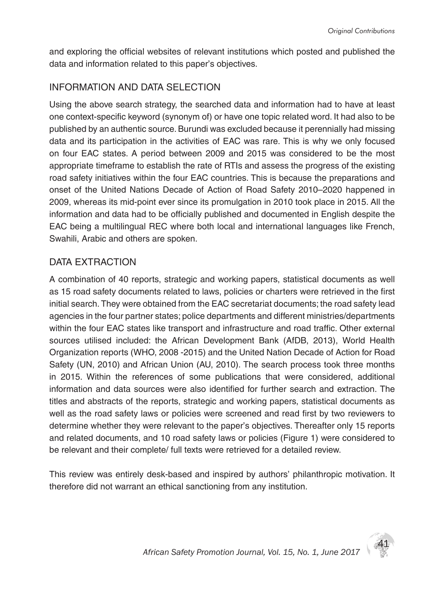and exploring the official websites of relevant institutions which posted and published the data and information related to this paper's objectives.

### INFORMATION AND DATA SELECTION

Using the above search strategy, the searched data and information had to have at least one context-specific keyword (synonym of) or have one topic related word. It had also to be published by an authentic source. Burundi was excluded because it perennially had missing data and its participation in the activities of EAC was rare. This is why we only focused on four EAC states. A period between 2009 and 2015 was considered to be the most appropriate timeframe to establish the rate of RTIs and assess the progress of the existing road safety initiatives within the four EAC countries. This is because the preparations and onset of the United Nations Decade of Action of Road Safety 2010–2020 happened in 2009, whereas its mid-point ever since its promulgation in 2010 took place in 2015. All the information and data had to be officially published and documented in English despite the EAC being a multilingual REC where both local and international languages like French, Swahili, Arabic and others are spoken.

### DATA EXTRACTION

A combination of 40 reports, strategic and working papers, statistical documents as well as 15 road safety documents related to laws, policies or charters were retrieved in the first initial search. They were obtained from the EAC secretariat documents; the road safety lead agencies in the four partner states; police departments and different ministries/departments within the four EAC states like transport and infrastructure and road traffic. Other external sources utilised included: the African Development Bank (AfDB, 2013), World Health Organization reports (WHO, 2008 -2015) and the United Nation Decade of Action for Road Safety (UN, 2010) and African Union (AU, 2010). The search process took three months in 2015. Within the references of some publications that were considered, additional information and data sources were also identified for further search and extraction. The titles and abstracts of the reports, strategic and working papers, statistical documents as well as the road safety laws or policies were screened and read first by two reviewers to determine whether they were relevant to the paper's objectives. Thereafter only 15 reports and related documents, and 10 road safety laws or policies (Figure 1) were considered to be relevant and their complete/ full texts were retrieved for a detailed review.

This review was entirely desk-based and inspired by authors' philanthropic motivation. It therefore did not warrant an ethical sanctioning from any institution.

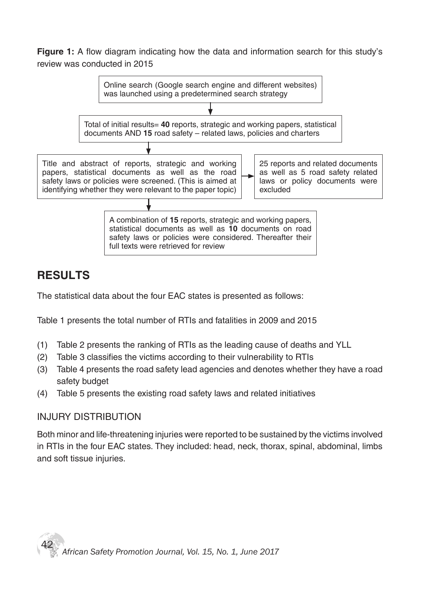**Figure 1:** A flow diagram indicating how the data and information search for this study's review was conducted in 2015



# **RESULTS**

The statistical data about the four EAC states is presented as follows:

Table 1 presents the total number of RTIs and fatalities in 2009 and 2015

- (1) Table 2 presents the ranking of RTIs as the leading cause of deaths and YLL
- (2) Table 3 classifies the victims according to their vulnerability to RTIs
- (3) Table 4 presents the road safety lead agencies and denotes whether they have a road safety budget
- (4) Table 5 presents the existing road safety laws and related initiatives

### INJURY DISTRIBUTION

Both minor and life-threatening injuries were reported to be sustained by the victims involved in RTIs in the four EAC states. They included: head, neck, thorax, spinal, abdominal, limbs and soft tissue injuries.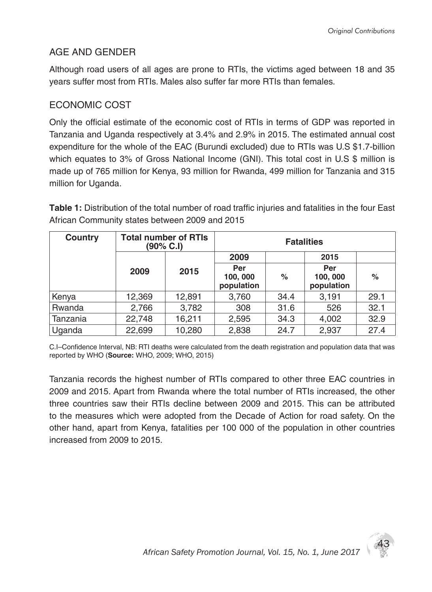43

### AGE AND GENDER

Although road users of all ages are prone to RTIs, the victims aged between 18 and 35 years suffer most from RTIs. Males also suffer far more RTIs than females.

## ECONOMIC COST

Only the official estimate of the economic cost of RTIs in terms of GDP was reported in Tanzania and Uganda respectively at 3.4% and 2.9% in 2015. The estimated annual cost expenditure for the whole of the EAC (Burundi excluded) due to RTIs was U.S \$1.7-billion which equates to 3% of Gross National Income (GNI). This total cost in U.S \$ million is made up of 765 million for Kenya, 93 million for Rwanda, 499 million for Tanzania and 315 million for Uganda.

**Table 1:** Distribution of the total number of road traffic injuries and fatalities in the four East African Community states between 2009 and 2015

| Country  | <b>Total number of RTIs</b><br>$(90\% \text{ C.1})$ |        |                               | <b>Fatalities</b> |                              |      |
|----------|-----------------------------------------------------|--------|-------------------------------|-------------------|------------------------------|------|
|          |                                                     |        | 2009                          |                   | 2015                         |      |
|          | 2009                                                | 2015   | Per<br>100, 000<br>population | $\%$              | Per<br>100,000<br>population | $\%$ |
| Kenya    | 12,369                                              | 12,891 | 3,760                         | 34.4              | 3,191                        | 29.1 |
| Rwanda   | 2,766                                               | 3,782  | 308                           | 31.6              | 526                          | 32.1 |
| Tanzania | 22,748                                              | 16,211 | 2,595                         | 34.3              | 4,002                        | 32.9 |
| Uganda   | 22,699                                              | 10,280 | 2,838                         | 24.7              | 2,937                        | 27.4 |

C.I–Confidence Interval, NB: RTI deaths were calculated from the death registration and population data that was reported by WHO (**Source:** WHO, 2009; WHO, 2015)

Tanzania records the highest number of RTIs compared to other three EAC countries in 2009 and 2015. Apart from Rwanda where the total number of RTIs increased, the other three countries saw their RTIs decline between 2009 and 2015. This can be attributed to the measures which were adopted from the Decade of Action for road safety. On the other hand, apart from Kenya, fatalities per 100 000 of the population in other countries increased from 2009 to 2015.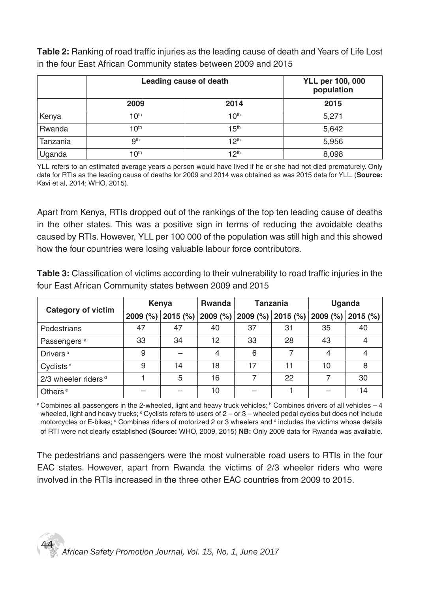**Table 2:** Ranking of road traffic injuries as the leading cause of death and Years of Life Lost in the four East African Community states between 2009 and 2015

|          |                  | Leading cause of death | <b>YLL per 100, 000</b><br>population |
|----------|------------------|------------------------|---------------------------------------|
|          | 2009             | 2014                   | 2015                                  |
| Kenya    | 10 <sup>th</sup> | 10 <sup>th</sup>       | 5,271                                 |
| Rwanda   | 10 <sup>th</sup> | 15 <sup>th</sup>       | 5,642                                 |
| Tanzania | 9 <sup>th</sup>  | 12 <sup>th</sup>       | 5,956                                 |
| Uganda   | 10 <sup>th</sup> | 12 <sup>th</sup>       | 8,098                                 |

YLL refers to an estimated average years a person would have lived if he or she had not died prematurely. Only data for RTIs as the leading cause of deaths for 2009 and 2014 was obtained as was 2015 data for YLL. (**Source:** Kavi et al, 2014; WHO, 2015).

Apart from Kenya, RTIs dropped out of the rankings of the top ten leading cause of deaths in the other states. This was a positive sign in terms of reducing the avoidable deaths caused by RTIs. However, YLL per 100 000 of the population was still high and this showed how the four countries were losing valuable labour force contributors.

**Table 3:** Classification of victims according to their vulnerability to road traffic injuries in the four East African Community states between 2009 and 2015

|                                   | Kenya      |          | <b>Rwanda</b> | <b>Tanzania</b> |          | <b>Uganda</b> |            |
|-----------------------------------|------------|----------|---------------|-----------------|----------|---------------|------------|
| <b>Category of victim</b>         | $2009$ (%) | 2015 (%) | 2009 (%)      | 2009 (%)        | 2015 (%) | 2009(%)       | $2015$ (%) |
| Pedestrians                       | 47         | 47       | 40            | 37              | 31       | 35            | 40         |
| Passengers <sup>a</sup>           | 33         | 34       | 12            | 33              | 28       | 43            |            |
| Drivers <sup>b</sup>              | 9          |          | 4             | 6               |          | 4             | 4          |
| Cyclists <sup>c</sup>             | 9          | 14       | 18            | 17              | 11       | 10            | 8          |
| $2/3$ wheeler riders <sup>d</sup> |            | 5        | 16            |                 | 22       |               | 30         |
| Others <sup>e</sup>               |            |          | 10            |                 |          |               | 14         |

 $^\text{a}$ Combines all passengers in the 2-wheeled, light and heavy truck vehicles;  $^\text{b}$  Combines drivers of all vehicles – 4 wheeled, light and heavy trucks;  $^\circ$  Cyclists refers to users of 2 – or 3 – wheeled pedal cycles but does not include motorcycles or E-bikes; <sup>d</sup> Combines riders of motorized 2 or 3 wheelers and <sup>d</sup> includes the victims whose details of RTI were not clearly established **(Source:** WHO, 2009, 2015) **NB:** Only 2009 data for Rwanda was available.

The pedestrians and passengers were the most vulnerable road users to RTIs in the four EAC states. However, apart from Rwanda the victims of 2/3 wheeler riders who were involved in the RTIs increased in the three other EAC countries from 2009 to 2015.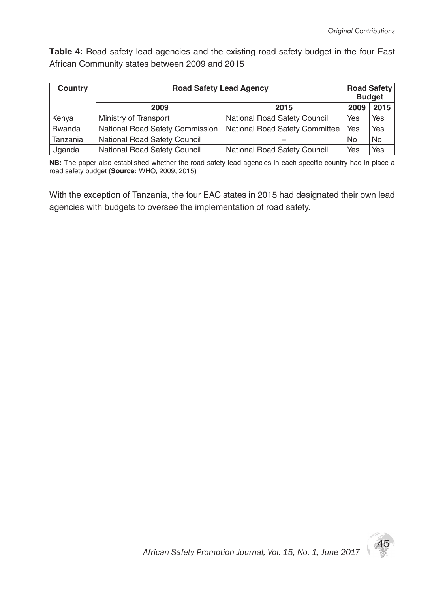**Table 4:** Road safety lead agencies and the existing road safety budget in the four East African Community states between 2009 and 2015

| <b>Country</b> | <b>Road Safety Lead Agency</b>  |                                |      | <b>Road Safety</b><br><b>Budget</b> |
|----------------|---------------------------------|--------------------------------|------|-------------------------------------|
|                | 2009                            | 2015                           | 2009 | 2015                                |
| Kenya          | Ministry of Transport           | National Road Safety Council   | Yes  | Yes                                 |
| Rwanda         | National Road Safety Commission | National Road Safety Committee | Yes  | Yes                                 |
| Tanzania       | National Road Safety Council    |                                | No   | No                                  |
| Uganda         | National Road Safety Council    | National Road Safety Council   | Yes  | Yes                                 |

**NB:** The paper also established whether the road safety lead agencies in each specific country had in place a road safety budget (**Source:** WHO, 2009, 2015)

With the exception of Tanzania, the four EAC states in 2015 had designated their own lead agencies with budgets to oversee the implementation of road safety.

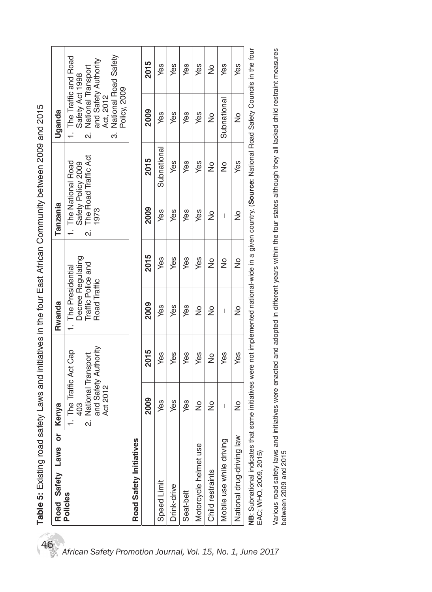| Road Safety Laws                                                                                                                                          | ō | Kenya                                                |               | Rwanda                             |                   | Tanzania                        |                    | Uganda                                               |               |
|-----------------------------------------------------------------------------------------------------------------------------------------------------------|---|------------------------------------------------------|---------------|------------------------------------|-------------------|---------------------------------|--------------------|------------------------------------------------------|---------------|
| Policies                                                                                                                                                  |   | 1. The Traffic Act Cap<br>403                        |               | 1. The Presidential                | Decree Regulating | I. The National Road            | Safety Policy 2009 | 1. The Traffic and Road<br>Safety Act 1998           |               |
|                                                                                                                                                           |   | and Safety Authority<br>National Transport<br>.<br>N |               | Traffic Police and<br>Road Traffic |                   | 2. The Road Traffic Act<br>1973 |                    | and Safety Authority<br>National Transport<br>.<br>N |               |
|                                                                                                                                                           |   | Act 2012                                             |               |                                    |                   |                                 |                    | National Road Safety<br>Act, 2012<br>.<br>က          |               |
|                                                                                                                                                           |   |                                                      |               |                                    |                   |                                 |                    | Policy, 2009                                         |               |
| Road Safety Initiatives                                                                                                                                   |   |                                                      |               |                                    |                   |                                 |                    |                                                      |               |
|                                                                                                                                                           |   | 2009                                                 | 2015          | 2009                               | 2015              | 2009                            | 2015               | 2009                                                 | 2015          |
| Speed Limit                                                                                                                                               |   | yes                                                  | Yes           | Yes                                | yes               | yes                             | Subnational        | yes                                                  | yes           |
| Drink-drive                                                                                                                                               |   | yes                                                  | Yes           | Yes                                | Yes               | Yes                             | yes                | Yes                                                  | yes           |
| Seat-belt                                                                                                                                                 |   | Yes                                                  | Yes           | Yes                                | Yes               | Yes                             | yes                | Yes                                                  | yes           |
| Motorcycle helmet use                                                                                                                                     |   | $\frac{1}{2}$                                        | yes           | ş                                  | Yes               | Yes                             | yes                | Yes                                                  | yes           |
| Child restraints                                                                                                                                          |   | ş                                                    | $\frac{1}{2}$ | ş                                  | ž                 | ž                               | $\frac{1}{2}$      | ž                                                    | $\frac{1}{2}$ |
| Mobile use while driving                                                                                                                                  |   | $\overline{\phantom{a}}$                             | Yes           | I                                  | ş                 | $\overline{\phantom{a}}$        | $\frac{1}{2}$      | Subnational                                          | yes           |
| National drug-driving law                                                                                                                                 |   | $\frac{1}{2}$                                        | yes           | ž                                  | ž                 | ş                               | Yes                | ž                                                    | yes           |
| NB: Subnational indicates that some initiatives were not implemented national-wide in a given country. (Source: National Road Safety Councils in the four |   |                                                      |               |                                    |                   |                                 |                    |                                                      |               |

Table 5: Existing road safety Laws and initiatives in the four East African Community between 2009 and 2015 46**Table 5:** Existing road safety Laws and initiatives in the four East African Community between 2009 and 2015 EAC; WHO, 2009, 2015) EAC; WHO, 2009, 2015)

Various road safety laws and initiatives were enacted and adopted in different years within the four states although they all lacked child restraint measures<br>between 2009 and 2015 Various road safety laws and initiatives were enacted and adopted in different years within the four states although they all lacked child restraint measures between 2009 and 2015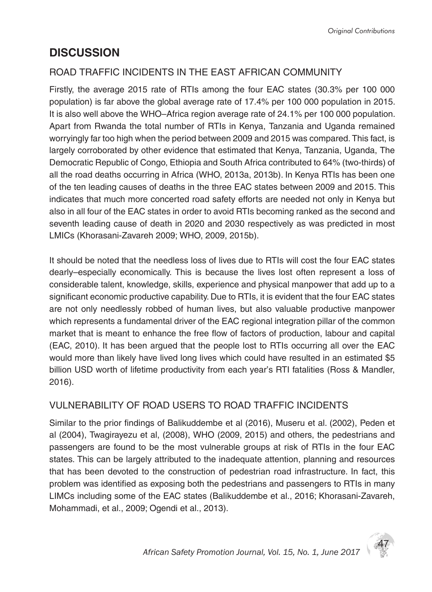# **DISCUSSION**

## ROAD TRAFFIC INCIDENTS IN THE EAST AFRICAN COMMUNITY

Firstly, the average 2015 rate of RTIs among the four EAC states (30.3% per 100 000 population) is far above the global average rate of 17.4% per 100 000 population in 2015. It is also well above the WHO–Africa region average rate of 24.1% per 100 000 population. Apart from Rwanda the total number of RTIs in Kenya, Tanzania and Uganda remained worryingly far too high when the period between 2009 and 2015 was compared. This fact, is largely corroborated by other evidence that estimated that Kenya, Tanzania, Uganda, The Democratic Republic of Congo, Ethiopia and South Africa contributed to 64% (two-thirds) of all the road deaths occurring in Africa (WHO, 2013a, 2013b). In Kenya RTIs has been one of the ten leading causes of deaths in the three EAC states between 2009 and 2015. This indicates that much more concerted road safety efforts are needed not only in Kenya but also in all four of the EAC states in order to avoid RTIs becoming ranked as the second and seventh leading cause of death in 2020 and 2030 respectively as was predicted in most LMICs (Khorasani-Zavareh 2009; WHO, 2009, 2015b).

It should be noted that the needless loss of lives due to RTIs will cost the four EAC states dearly–especially economically. This is because the lives lost often represent a loss of considerable talent, knowledge, skills, experience and physical manpower that add up to a significant economic productive capability. Due to RTIs, it is evident that the four EAC states are not only needlessly robbed of human lives, but also valuable productive manpower which represents a fundamental driver of the EAC regional integration pillar of the common market that is meant to enhance the free flow of factors of production, labour and capital (EAC, 2010). It has been argued that the people lost to RTIs occurring all over the EAC would more than likely have lived long lives which could have resulted in an estimated \$5 billion USD worth of lifetime productivity from each year's RTI fatalities (Ross & Mandler, 2016).

## VULNERABILITY OF ROAD USERS TO ROAD TRAFFIC INCIDENTS

Similar to the prior findings of Balikuddembe et al (2016), Museru et al. (2002), Peden et al (2004), Twagirayezu et al, (2008), WHO (2009, 2015) and others, the pedestrians and passengers are found to be the most vulnerable groups at risk of RTIs in the four EAC states. This can be largely attributed to the inadequate attention, planning and resources that has been devoted to the construction of pedestrian road infrastructure. In fact, this problem was identified as exposing both the pedestrians and passengers to RTIs in many LIMCs including some of the EAC states (Balikuddembe et al., 2016; Khorasani-Zavareh, Mohammadi, et al., 2009; Ogendi et al., 2013).

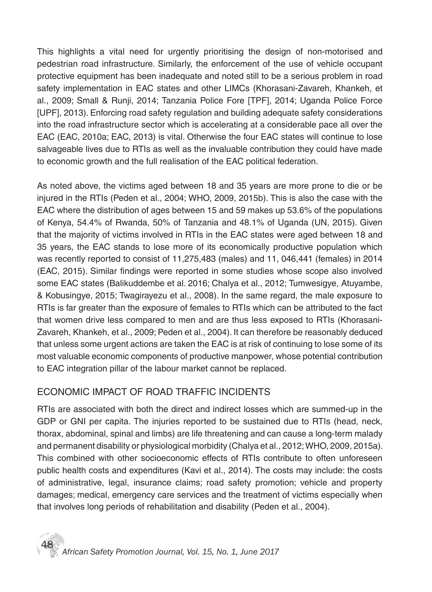This highlights a vital need for urgently prioritising the design of non-motorised and pedestrian road infrastructure. Similarly, the enforcement of the use of vehicle occupant protective equipment has been inadequate and noted still to be a serious problem in road safety implementation in EAC states and other LIMCs (Khorasani-Zavareh, Khankeh, et al., 2009; Small & Runji, 2014; Tanzania Police Fore [TPF], 2014; Uganda Police Force [UPF], 2013). Enforcing road safety regulation and building adequate safety considerations into the road infrastructure sector which is accelerating at a considerable pace all over the EAC (EAC, 2010a; EAC, 2013) is vital. Otherwise the four EAC states will continue to lose salvageable lives due to RTIs as well as the invaluable contribution they could have made to economic growth and the full realisation of the EAC political federation.

As noted above, the victims aged between 18 and 35 years are more prone to die or be injured in the RTIs (Peden et al., 2004; WHO, 2009, 2015b). This is also the case with the EAC where the distribution of ages between 15 and 59 makes up 53.6% of the populations of Kenya, 54.4% of Rwanda, 50% of Tanzania and 48.1% of Uganda (UN, 2015). Given that the majority of victims involved in RTIs in the EAC states were aged between 18 and 35 years, the EAC stands to lose more of its economically productive population which was recently reported to consist of 11,275,483 (males) and 11, 046,441 (females) in 2014 (EAC, 2015). Similar findings were reported in some studies whose scope also involved some EAC states (Balikuddembe et al. 2016; Chalya et al., 2012; Tumwesigye, Atuyambe, & Kobusingye, 2015; Twagirayezu et al., 2008). In the same regard, the male exposure to RTIs is far greater than the exposure of females to RTIs which can be attributed to the fact that women drive less compared to men and are thus less exposed to RTIs (Khorasani-Zavareh, Khankeh, et al., 2009; Peden et al., 2004). It can therefore be reasonably deduced that unless some urgent actions are taken the EAC is at risk of continuing to lose some of its most valuable economic components of productive manpower, whose potential contribution to EAC integration pillar of the labour market cannot be replaced.

## ECONOMIC IMPACT OF ROAD TRAFFIC INCIDENTS

RTIs are associated with both the direct and indirect losses which are summed-up in the GDP or GNI per capita. The injuries reported to be sustained due to RTIs (head, neck, thorax, abdominal, spinal and limbs) are life threatening and can cause a long-term malady and permanent disability or physiological morbidity (Chalya et al., 2012; WHO, 2009, 2015a). This combined with other socioeconomic effects of RTIs contribute to often unforeseen public health costs and expenditures (Kavi et al., 2014). The costs may include: the costs of administrative, legal, insurance claims; road safety promotion; vehicle and property damages; medical, emergency care services and the treatment of victims especially when that involves long periods of rehabilitation and disability (Peden et al., 2004).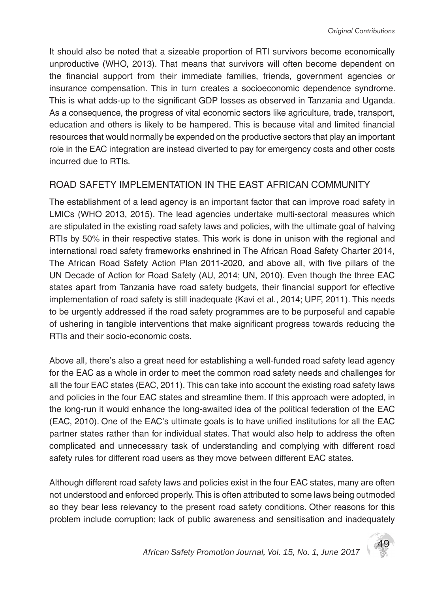It should also be noted that a sizeable proportion of RTI survivors become economically unproductive (WHO, 2013). That means that survivors will often become dependent on the financial support from their immediate families, friends, government agencies or insurance compensation. This in turn creates a socioeconomic dependence syndrome. This is what adds-up to the significant GDP losses as observed in Tanzania and Uganda. As a consequence, the progress of vital economic sectors like agriculture, trade, transport, education and others is likely to be hampered. This is because vital and limited financial resources that would normally be expended on the productive sectors that play an important role in the EAC integration are instead diverted to pay for emergency costs and other costs incurred due to RTIs.

## ROAD SAFETY IMPLEMENTATION IN THE EAST AFRICAN COMMUNITY

The establishment of a lead agency is an important factor that can improve road safety in LMICs (WHO 2013, 2015). The lead agencies undertake multi-sectoral measures which are stipulated in the existing road safety laws and policies, with the ultimate goal of halving RTIs by 50% in their respective states. This work is done in unison with the regional and international road safety frameworks enshrined in The African Road Safety Charter 2014, The African Road Safety Action Plan 2011-2020, and above all, with five pillars of the UN Decade of Action for Road Safety (AU, 2014; UN, 2010). Even though the three EAC states apart from Tanzania have road safety budgets, their financial support for effective implementation of road safety is still inadequate (Kavi et al., 2014; UPF, 2011). This needs to be urgently addressed if the road safety programmes are to be purposeful and capable of ushering in tangible interventions that make significant progress towards reducing the RTIs and their socio-economic costs.

Above all, there's also a great need for establishing a well-funded road safety lead agency for the EAC as a whole in order to meet the common road safety needs and challenges for all the four EAC states (EAC, 2011). This can take into account the existing road safety laws and policies in the four EAC states and streamline them. If this approach were adopted, in the long-run it would enhance the long-awaited idea of the political federation of the EAC (EAC, 2010). One of the EAC's ultimate goals is to have unified institutions for all the EAC partner states rather than for individual states. That would also help to address the often complicated and unnecessary task of understanding and complying with different road safety rules for different road users as they move between different EAC states.

Although different road safety laws and policies exist in the four EAC states, many are often not understood and enforced properly. This is often attributed to some laws being outmoded so they bear less relevancy to the present road safety conditions. Other reasons for this problem include corruption; lack of public awareness and sensitisation and inadequately

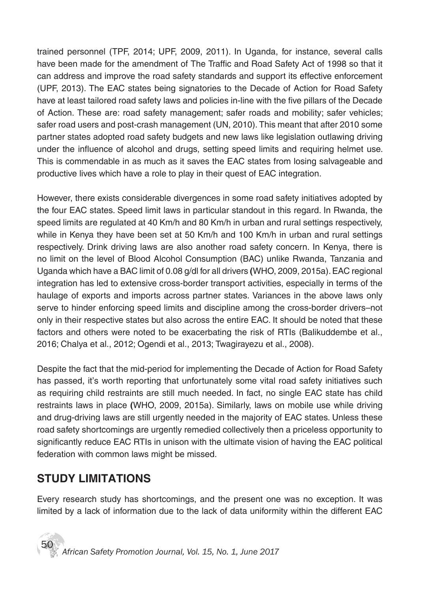trained personnel (TPF, 2014; UPF, 2009, 2011). In Uganda, for instance, several calls have been made for the amendment of The Traffic and Road Safety Act of 1998 so that it can address and improve the road safety standards and support its effective enforcement (UPF, 2013). The EAC states being signatories to the Decade of Action for Road Safety have at least tailored road safety laws and policies in-line with the five pillars of the Decade of Action. These are: road safety management; safer roads and mobility; safer vehicles; safer road users and post-crash management (UN, 2010). This meant that after 2010 some partner states adopted road safety budgets and new laws like legislation outlawing driving under the influence of alcohol and drugs, setting speed limits and requiring helmet use. This is commendable in as much as it saves the EAC states from losing salvageable and productive lives which have a role to play in their quest of EAC integration.

However, there exists considerable divergences in some road safety initiatives adopted by the four EAC states. Speed limit laws in particular standout in this regard. In Rwanda, the speed limits are regulated at 40 Km/h and 80 Km/h in urban and rural settings respectively, while in Kenya they have been set at 50 Km/h and 100 Km/h in urban and rural settings respectively. Drink driving laws are also another road safety concern. In Kenya, there is no limit on the level of Blood Alcohol Consumption (BAC) unlike Rwanda, Tanzania and Uganda which have a BAC limit of 0.08 g/dl for all drivers **(**WHO, 2009, 2015a). EAC regional integration has led to extensive cross-border transport activities, especially in terms of the haulage of exports and imports across partner states. Variances in the above laws only serve to hinder enforcing speed limits and discipline among the cross-border drivers–not only in their respective states but also across the entire EAC. It should be noted that these factors and others were noted to be exacerbating the risk of RTIs (Balikuddembe et al., 2016; Chalya et al., 2012; Ogendi et al., 2013; Twagirayezu et al., 2008).

Despite the fact that the mid-period for implementing the Decade of Action for Road Safety has passed, it's worth reporting that unfortunately some vital road safety initiatives such as requiring child restraints are still much needed. In fact, no single EAC state has child restraints laws in place **(**WHO, 2009, 2015a). Similarly, laws on mobile use while driving and drug-driving laws are still urgently needed in the majority of EAC states. Unless these road safety shortcomings are urgently remedied collectively then a priceless opportunity to significantly reduce EAC RTIs in unison with the ultimate vision of having the EAC political federation with common laws might be missed.

# **STUDY LIMITATIONS**

Every research study has shortcomings, and the present one was no exception. It was limited by a lack of information due to the lack of data uniformity within the different EAC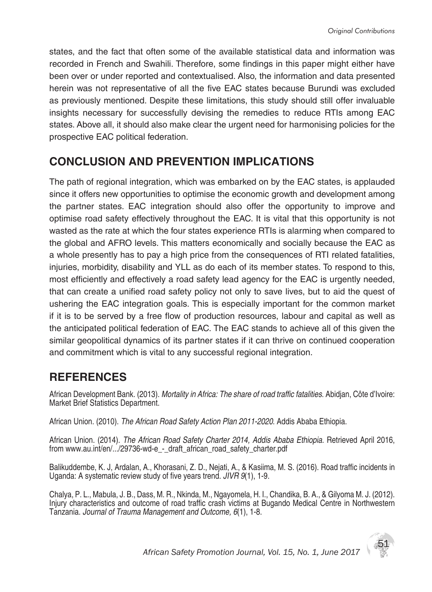states, and the fact that often some of the available statistical data and information was recorded in French and Swahili. Therefore, some findings in this paper might either have been over or under reported and contextualised. Also, the information and data presented herein was not representative of all the five EAC states because Burundi was excluded as previously mentioned. Despite these limitations, this study should still offer invaluable insights necessary for successfully devising the remedies to reduce RTIs among EAC states. Above all, it should also make clear the urgent need for harmonising policies for the prospective EAC political federation.

## **CONCLUSION AND PREVENTION IMPLICATIONS**

The path of regional integration, which was embarked on by the EAC states, is applauded since it offers new opportunities to optimise the economic growth and development among the partner states. EAC integration should also offer the opportunity to improve and optimise road safety effectively throughout the EAC. It is vital that this opportunity is not wasted as the rate at which the four states experience RTIs is alarming when compared to the global and AFRO levels. This matters economically and socially because the EAC as a whole presently has to pay a high price from the consequences of RTI related fatalities, injuries, morbidity, disability and YLL as do each of its member states. To respond to this, most efficiently and effectively a road safety lead agency for the EAC is urgently needed, that can create a unified road safety policy not only to save lives, but to aid the quest of ushering the EAC integration goals. This is especially important for the common market if it is to be served by a free flow of production resources, labour and capital as well as the anticipated political federation of EAC. The EAC stands to achieve all of this given the similar geopolitical dynamics of its partner states if it can thrive on continued cooperation and commitment which is vital to any successful regional integration.

## **REFERENCES**

African Development Bank*.* (2013). *Mortality in Africa: The share of road traffic fatalities*. Abidjan, Côte d'Ivoire: Market Brief Statistics Department.

African Union. (2010). *The African Road Safety Action Plan 2011-2020*. Addis Ababa Ethiopia.

African Union. (2014). *The African Road Safety Charter 2014, Addis Ababa Ethiopia*. Retrieved April 2016, from www.au.int/en/.../29736-wd-e - draft african road safety charter.pdf

Balikuddembe, K. J, Ardalan, A., Khorasani, Z. D., Nejati, A., & Kasiima, M. S. (2016). Road traffic incidents in Uganda: A systematic review study of five years trend. *JIVR 9*(1), 1-9.

Chalya, P. L., Mabula, J. B., Dass, M. R., Nkinda, M., Ngayomela, H. I., Chandika, B. A., & Gilyoma M. J. (2012). Injury characteristics and outcome of road traffic crash victims at Bugando Medical Centre in Northwestern Tanzania. *Journal of Trauma Management and Outcome, 6*(1), 1-8.

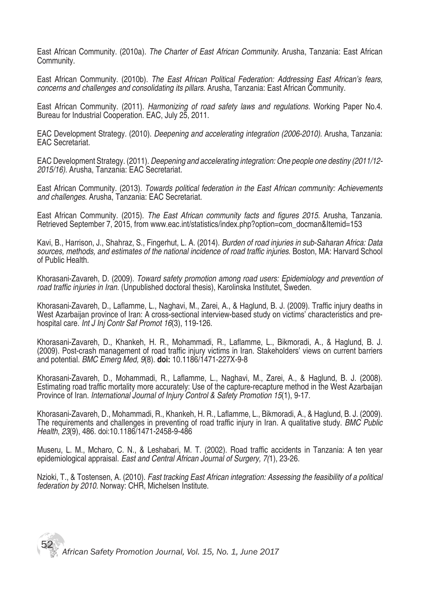East African Community. (2010a). *The Charter of East African Community.* Arusha, Tanzania: East African Community.

East African Community. (2010b). *The East African Political Federation: Addressing East African's fears, concerns and challenges and consolidating its pillars*. Arusha, Tanzania: East African Community.

East African Community. (2011). *Harmonizing of road safety laws and regulations.* Working Paper No.4. Bureau for Industrial Cooperation. EAC, July 25, 2011.

EAC Development Strategy. (2010). *Deepening and accelerating integration (2006-2010).* Arusha, Tanzania: EAC Secretariat.

EAC Development Strategy. (2011). *Deepening and accelerating integration: One people one destiny (2011/12- 2015/16).* Arusha, Tanzania: EAC Secretariat.

East African Community. (2013). *Towards political federation in the East African community: Achievements and challenges*. Arusha, Tanzania: EAC Secretariat.

East African Community. (2015). *The East African community facts and figures 2015*. Arusha, Tanzania. Retrieved September 7, 2015, from www.eac.int/statistics/index.php?option=com\_docman&Itemid=153

Kavi, B., Harrison, J., Shahraz, S., Fingerhut, L. A. (2014). *Burden of road injuries in sub-Saharan Africa: Data sources, methods, and estimates of the national incidence of road traffic injuries*. Boston, MA: Harvard School of Public Health.

Khorasani-Zavareh, D. (2009). *Toward safety promotion among road users: Epidemiology and prevention of road traffic injuries in Iran*. (Unpublished doctoral thesis), Karolinska Institutet, Sweden.

Khorasani-Zavareh, D., Laflamme, L., Naghavi, M., Zarei, A., & Haglund, B. J. (2009). Traffic injury deaths in West Azarbaijan province of Iran: A cross-sectional interview-based study on victims' characteristics and prehospital care. *Int J Inj Contr Saf Promot 16*(3), 119-126.

Khorasani-Zavareh, D., Khankeh, H. R., Mohammadi, R., Laflamme, L., Bikmoradi, A., & Haglund, B. J. (2009). Post-crash management of road traffic injury victims in Iran. Stakeholders' views on current barriers and potential. *BMC Emerg Med, 9*(8). **doi:** 10.1186/1471-227X-9-8

Khorasani-Zavareh, D., Mohammadi, R., Laflamme, L., Naghavi, M., Zarei, A., & Haglund, B. J. (2008). Estimating road traffic mortality more accurately: Use of the capture-recapture method in the West Azarbaijan Province of Iran. *International Journal of Injury Control & Safety Promotion 15*(1), 9-17.

Khorasani-Zavareh, D., Mohammadi, R., Khankeh, H. R., Laflamme, L., Bikmoradi, A., & Haglund, B. J. (2009). The requirements and challenges in preventing of road traffic injury in Iran. A qualitative study. *BMC Public Health*, *23*(9), 486. doi:10.1186/1471-2458-9-486

Museru, L. M., Mcharo, C. N., & Leshabari, M. T. (2002). Road traffic accidents in Tanzania: A ten year epidemiological appraisal. *East and Central African Journal of Surgery, 7(*1), 23-26.

Nzioki, T., & Tostensen, A. (2010). *Fast tracking East African integration: Assessing the feasibility of a political federation by 2010*. Norway: CHR, Michelsen Institute.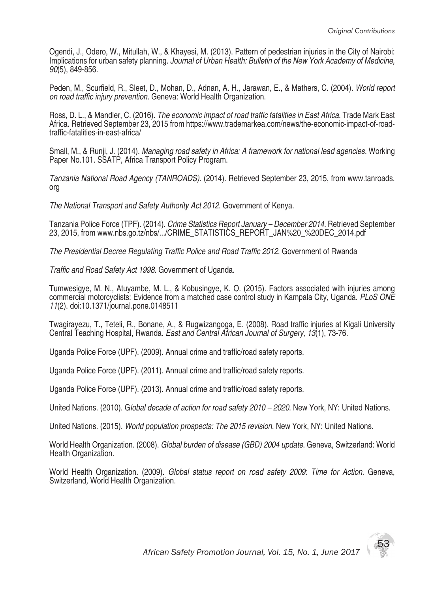Ogendi, J., Odero, W., Mitullah, W., & Khayesi, M. (2013). Pattern of pedestrian injuries in the City of Nairobi: Implications for urban safety planning. *Journal of Urban Health: Bulletin of the New York Academy of Medicine, 90*(5), 849-856.

Peden, M., Scurfield, R., Sleet, D., Mohan, D., Adnan, A. H., Jarawan, E., & Mathers, C. (2004). *World report on road traffic injury prevention*. Geneva: World Health Organization.

Ross, D. L., & Mandler, C. (2016). *The economic impact of road traffic fatalities in East Africa*. Trade Mark East Africa. Retrieved September 23, 2015 from https://www.trademarkea.com/news/the-economic-impact-of-roadtraffic-fatalities-in-east-africa/

Small, M., & Runji, J. (2014). *Managing road safety in Africa: A framework for national lead agencies.* Working Paper No.101. SSATP, Africa Transport Policy Program.

*Tanzania National Road Agency (TANROADS).* (2014). Retrieved September 23, 2015, from www.tanroads. org

*The National Transport and Safety Authority Act 2012*. Government of Kenya.

Tanzania Police Force (TPF). (2014). *Crime Statistics Report January – December 2014*. Retrieved September 23, 2015, from www.nbs.go.tz/nbs/.../CRIME\_STATISTICS\_REPORT\_JAN%20\_%20DEC\_2014.pdf

*The Presidential Decree Regulating Traffic Police and Road Traffic 2012*. Government of Rwanda

*Traffic and Road Safety Act 1998*. Government of Uganda.

Tumwesigye, M. N., Atuyambe, M. L., & Kobusingye, K. O. (2015). Factors associated with injuries among commercial motorcyclists: Evidence from a matched case control study in Kampala City, Uganda. *PLoS ONE 11*(2). doi:10.1371/journal.pone.0148511

Twagirayezu, T., Teteli, R., Bonane, A., & Rugwizangoga, E. (2008). Road traffic injuries at Kigali University Central Teaching Hospital, Rwanda*. East and Central African Journal of Surgery, 13*(1), 73-76.

Uganda Police Force (UPF). (2009). Annual crime and traffic/road safety reports.

Uganda Police Force (UPF). (2011). Annual crime and traffic/road safety reports.

Uganda Police Force (UPF). (2013). Annual crime and traffic/road safety reports.

United Nations. (2010). G*lobal decade of action for road safety 2010 – 2020*. New York, NY: United Nations.

United Nations. (2015). *World population prospects: The 2015 revision*. New York, NY: United Nations.

World Health Organization. (2008). *Global burden of disease (GBD) 2004 update*. Geneva, Switzerland: World Health Organization.

World Health Organization. (2009). *Global status report on road safety 2009*: *Time for Action.* Geneva, Switzerland*,* World Health Organization.